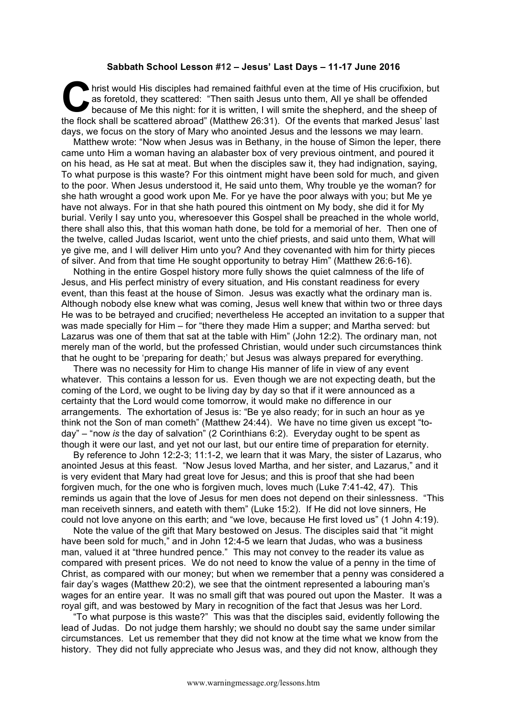## **Sabbath School Lesson #12 – Jesus' Last Days – 11-17 June 2016**

hrist would His disciples had remained faithful even at the time of His crucifixion, but as foretold, they scattered: "Then saith Jesus unto them, All ye shall be offended because of Me this night: for it is written, I will smite the shepherd, and the sheep of the flock shall be scattered abroad" (Matthew 26:31). Of the events that marked Jesus' last days, we focus on the story of Mary who anointed Jesus and the lessons we may learn. **C** hris

Matthew wrote: "Now when Jesus was in Bethany, in the house of Simon the leper, there came unto Him a woman having an alabaster box of very previous ointment, and poured it on his head, as He sat at meat. But when the disciples saw it, they had indignation, saying, To what purpose is this waste? For this ointment might have been sold for much, and given to the poor. When Jesus understood it, He said unto them, Why trouble ye the woman? for she hath wrought a good work upon Me. For ye have the poor always with you; but Me ye have not always. For in that she hath poured this ointment on My body, she did it for My burial. Verily I say unto you, wheresoever this Gospel shall be preached in the whole world, there shall also this, that this woman hath done, be told for a memorial of her. Then one of the twelve, called Judas Iscariot, went unto the chief priests, and said unto them, What will ye give me, and I will deliver Him unto you? And they covenanted with him for thirty pieces of silver. And from that time He sought opportunity to betray Him" (Matthew 26:6-16).

Nothing in the entire Gospel history more fully shows the quiet calmness of the life of Jesus, and His perfect ministry of every situation, and His constant readiness for every event, than this feast at the house of Simon. Jesus was exactly what the ordinary man is. Although nobody else knew what was coming, Jesus well knew that within two or three days He was to be betrayed and crucified; nevertheless He accepted an invitation to a supper that was made specially for Him – for "there they made Him a supper; and Martha served: but Lazarus was one of them that sat at the table with Him" (John 12:2). The ordinary man, not merely man of the world, but the professed Christian, would under such circumstances think that he ought to be 'preparing for death;' but Jesus was always prepared for everything.

There was no necessity for Him to change His manner of life in view of any event whatever. This contains a lesson for us. Even though we are not expecting death, but the coming of the Lord, we ought to be living day by day so that if it were announced as a certainty that the Lord would come tomorrow, it would make no difference in our arrangements. The exhortation of Jesus is: "Be ye also ready; for in such an hour as ye think not the Son of man cometh" (Matthew 24:44). We have no time given us except "today" – "now *is* the day of salvation" (2 Corinthians 6:2). Everyday ought to be spent as though it were our last, and yet not our last, but our entire time of preparation for eternity.

By reference to John 12:2-3; 11:1-2, we learn that it was Mary, the sister of Lazarus, who anointed Jesus at this feast. "Now Jesus loved Martha, and her sister, and Lazarus," and it is very evident that Mary had great love for Jesus; and this is proof that she had been forgiven much, for the one who is forgiven much, loves much (Luke 7:41-42, 47). This reminds us again that the love of Jesus for men does not depend on their sinlessness. "This man receiveth sinners, and eateth with them" (Luke 15:2). If He did not love sinners, He could not love anyone on this earth; and "we love, because He first loved us" (1 John 4:19).

Note the value of the gift that Mary bestowed on Jesus. The disciples said that "it might have been sold for much," and in John 12:4-5 we learn that Judas, who was a business man, valued it at "three hundred pence." This may not convey to the reader its value as compared with present prices. We do not need to know the value of a penny in the time of Christ, as compared with our money; but when we remember that a penny was considered a fair day's wages (Matthew 20:2), we see that the ointment represented a labouring man's wages for an entire year. It was no small gift that was poured out upon the Master. It was a royal gift, and was bestowed by Mary in recognition of the fact that Jesus was her Lord.

"To what purpose is this waste?" This was that the disciples said, evidently following the lead of Judas. Do not judge them harshly; we should no doubt say the same under similar circumstances. Let us remember that they did not know at the time what we know from the history. They did not fully appreciate who Jesus was, and they did not know, although they